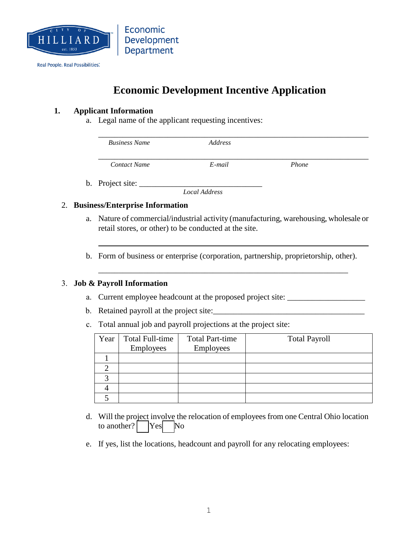

# **Economic Development Incentive Application**

#### **1. Applicant Information**

a. Legal name of the applicant requesting incentives:

| <b>Business Name</b> | Address   |       |  |
|----------------------|-----------|-------|--|
| <b>Contact Name</b>  | $E$ -mail | Phone |  |

b. Project site:

*Local Address* 

#### 2. **Business/Enterprise Information**

- a. Nature of commercial/industrial activity (manufacturing, warehousing, wholesale or retail stores, or other) to be conducted at the site.
- b. Form of business or enterprise (corporation, partnership, proprietorship, other).

\_\_\_\_\_\_\_\_\_\_\_\_\_\_\_\_\_\_\_\_\_\_\_\_\_\_\_\_\_\_\_\_\_\_\_\_\_\_\_\_\_\_\_\_\_\_\_\_\_\_\_\_\_\_\_\_\_\_\_\_\_

### 3. **Job & Payroll Information**

- a. Current employee headcount at the proposed project site: \_\_\_\_\_\_\_\_\_\_\_\_\_\_\_\_\_\_\_\_
- b. Retained payroll at the project site:
- c. Total annual job and payroll projections at the project site:

| Year | Total Full-time<br>Employees | <b>Total Part-time</b><br>Employees | <b>Total Payroll</b> |
|------|------------------------------|-------------------------------------|----------------------|
|      |                              |                                     |                      |
|      |                              |                                     |                      |
|      |                              |                                     |                      |
|      |                              |                                     |                      |
|      |                              |                                     |                      |

- d. Will the project involve the relocation of employees from one Central Ohio location to another?  $\begin{array}{|c|c|c|} \hline \end{array}$  Yes No
- e. If yes, list the locations, headcount and payroll for any relocating employees: